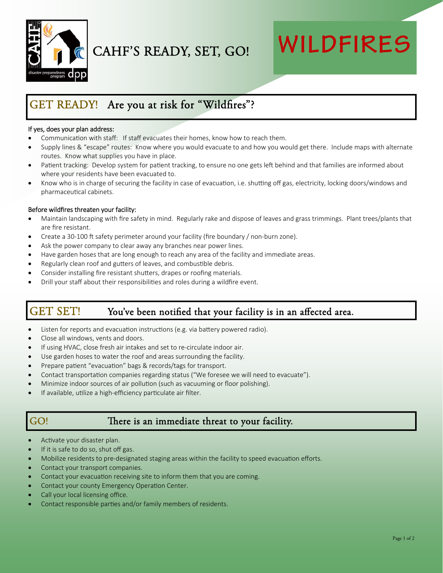

CAHF'S READY, SET, GO!

# **WILDFIRES**

## GET READY! Are you at risk for "Wildfires"?

#### If yes, does your plan address:

- Communication with staff: If staff evacuates their homes, know how to reach them.
- Supply lines & "escape" routes: Know where you would evacuate to and how you would get there. Include maps with alternate routes. Know what supplies you have in place.
- Patient tracking: Develop system for patient tracking, to ensure no one gets left behind and that families are informed about where your residents have been evacuated to.
- Know who is in charge of securing the facility in case of evacuation, i.e. shutting off gas, electricity, locking doors/windows and pharmaceutical cabinets.

#### Before wildfires threaten your facility:

- Maintain landscaping with fire safety in mind. Regularly rake and dispose of leaves and grass trimmings. Plant trees/plants that are fire resistant.
- Create a 30-100 ft safety perimeter around your facility (fire boundary / non-burn zone).
- Ask the power company to clear away any branches near power lines.
- Have garden hoses that are long enough to reach any area of the facility and immediate areas.
- Regularly clean roof and gutters of leaves, and combustible debris.
- Consider installing fire resistant shutters, drapes or roofing materials.
- Drill your staff about their responsibilities and roles during a wildfire event.

## GET SET! You've been notified that your facility is in an affected area.

- Listen for reports and evacuation instructions (e.g. via battery powered radio).
- Close all windows, vents and doors.
- If using HVAC, close fresh air intakes and set to re‐circulate indoor air.
- Use garden hoses to water the roof and areas surrounding the facility.
- Prepare patient "evacuation" bags & records/tags for transport.
- Contact transportation companies regarding status ("We foresee we will need to evacuate").
- Minimize indoor sources of air pollution (such as vacuuming or floor polishing).
- If available, utilize a high-efficiency particulate air filter.

### GO! There is an immediate threat to your facility.

- Activate your disaster plan.
- If it is safe to do so, shut off gas.
- Mobilize residents to pre-designated staging areas within the facility to speed evacuation efforts.
- Contact your transport companies.
- Contact your evacuation receiving site to inform them that you are coming.
- Contact your county Emergency Operation Center.
- Call your local licensing office.
- Contact responsible parties and/or family members of residents.